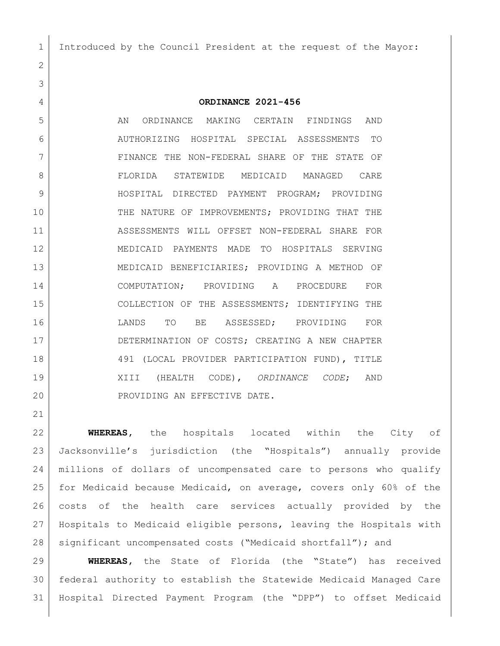Introduced by the Council President at the request of the Mayor:

### **ORDINANCE 2021-456**

5 AN ORDINANCE MAKING CERTAIN FINDINGS AND AUTHORIZING HOSPITAL SPECIAL ASSESSMENTS TO FINANCE THE NON-FEDERAL SHARE OF THE STATE OF FLORIDA STATEWIDE MEDICAID MANAGED CARE 9 HOSPITAL DIRECTED PAYMENT PROGRAM; PROVIDING THE NATURE OF IMPROVEMENTS; PROVIDING THAT THE ASSESSMENTS WILL OFFSET NON-FEDERAL SHARE FOR MEDICAID PAYMENTS MADE TO HOSPITALS SERVING MEDICAID BENEFICIARIES; PROVIDING A METHOD OF COMPUTATION; PROVIDING A PROCEDURE FOR COLLECTION OF THE ASSESSMENTS; IDENTIFYING THE LANDS TO BE ASSESSED; PROVIDING FOR 17 DETERMINATION OF COSTS; CREATING A NEW CHAPTER 18 491 (LOCAL PROVIDER PARTICIPATION FUND), TITLE XIII (HEALTH CODE), *ORDINANCE CODE*; AND 20 PROVIDING AN EFFECTIVE DATE.

 **WHEREAS,** the hospitals located within the City of Jacksonville's jurisdiction (the "Hospitals") annually provide millions of dollars of uncompensated care to persons who qualify for Medicaid because Medicaid, on average, covers only 60% of the costs of the health care services actually provided by the Hospitals to Medicaid eligible persons, leaving the Hospitals with 28 | significant uncompensated costs ("Medicaid shortfall"); and

 **WHEREAS,** the State of Florida (the "State") has received federal authority to establish the Statewide Medicaid Managed Care Hospital Directed Payment Program (the "DPP") to offset Medicaid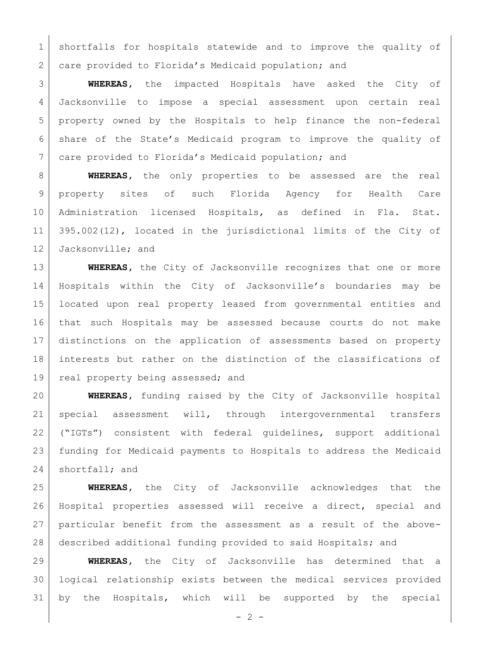shortfalls for hospitals statewide and to improve the quality of 2 care provided to Florida's Medicaid population; and

 **WHEREAS,** the impacted Hospitals have asked the City of Jacksonville to impose a special assessment upon certain real property owned by the Hospitals to help finance the non-federal share of the State's Medicaid program to improve the quality of care provided to Florida's Medicaid population; and

 **WHEREAS,** the only properties to be assessed are the real property sites of such Florida Agency for Health Care Administration licensed Hospitals, as defined in Fla. Stat. 395.002(12), located in the jurisdictional limits of the City of Jacksonville; and

 **WHEREAS,** the City of Jacksonville recognizes that one or more Hospitals within the City of Jacksonville's boundaries may be located upon real property leased from governmental entities and that such Hospitals may be assessed because courts do not make distinctions on the application of assessments based on property interests but rather on the distinction of the classifications of 19 real property being assessed; and

 **WHEREAS,** funding raised by the City of Jacksonville hospital special assessment will, through intergovernmental transfers ("IGTs") consistent with federal guidelines, support additional funding for Medicaid payments to Hospitals to address the Medicaid 24 shortfall; and

 **WHEREAS,** the City of Jacksonville acknowledges that the Hospital properties assessed will receive a direct, special and particular benefit from the assessment as a result of the above-described additional funding provided to said Hospitals; and

 **WHEREAS,** the City of Jacksonville has determined that a logical relationship exists between the medical services provided by the Hospitals, which will be supported by the special

 $-2 -$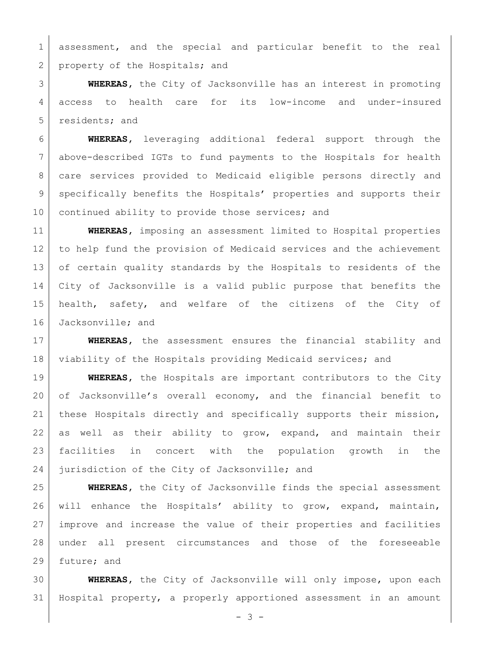assessment, and the special and particular benefit to the real 2 property of the Hospitals; and

 **WHEREAS,** the City of Jacksonville has an interest in promoting access to health care for its low-income and under-insured 5 residents; and

 **WHEREAS,** leveraging additional federal support through the above-described IGTs to fund payments to the Hospitals for health care services provided to Medicaid eligible persons directly and 9 | specifically benefits the Hospitals' properties and supports their 10 continued ability to provide those services; and

 **WHEREAS,** imposing an assessment limited to Hospital properties to help fund the provision of Medicaid services and the achievement of certain quality standards by the Hospitals to residents of the City of Jacksonville is a valid public purpose that benefits the health, safety, and welfare of the citizens of the City of 16 Jacksonville; and

 **WHEREAS,** the assessment ensures the financial stability and 18 viability of the Hospitals providing Medicaid services; and

 **WHEREAS,** the Hospitals are important contributors to the City of Jacksonville's overall economy, and the financial benefit to these Hospitals directly and specifically supports their mission, as well as their ability to grow, expand, and maintain their facilities in concert with the population growth in the 24 jurisdiction of the City of Jacksonville; and

 **WHEREAS,** the City of Jacksonville finds the special assessment will enhance the Hospitals' ability to grow, expand, maintain, improve and increase the value of their properties and facilities under all present circumstances and those of the foreseeable future; and

 **WHEREAS,** the City of Jacksonville will only impose, upon each Hospital property, a properly apportioned assessment in an amount

 $- 3 -$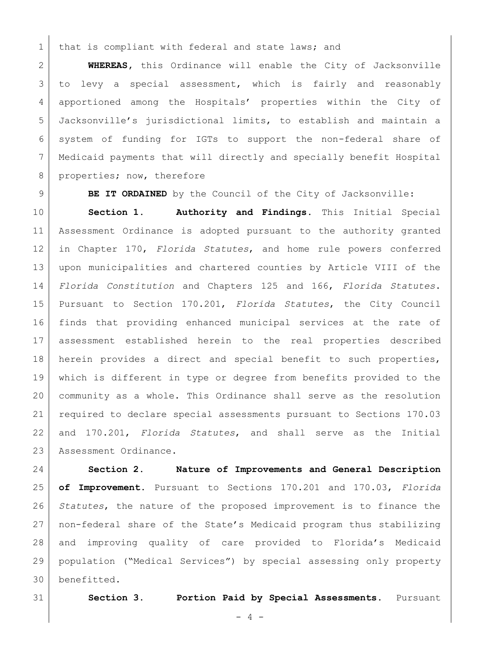that is compliant with federal and state laws; and

 **WHEREAS,** this Ordinance will enable the City of Jacksonville to levy a special assessment, which is fairly and reasonably apportioned among the Hospitals' properties within the City of Jacksonville's jurisdictional limits, to establish and maintain a system of funding for IGTs to support the non-federal share of Medicaid payments that will directly and specially benefit Hospital 8 properties; now, therefore

**BE IT ORDAINED** by the Council of the City of Jacksonville:

 **Section 1. Authority and Findings.** This Initial Special Assessment Ordinance is adopted pursuant to the authority granted in Chapter 170, *Florida Statutes*, and home rule powers conferred upon municipalities and chartered counties by Article VIII of the *Florida Constitution* and Chapters 125 and 166, *Florida Statutes*. Pursuant to Section 170.201, *Florida Statutes*, the City Council finds that providing enhanced municipal services at the rate of assessment established herein to the real properties described herein provides a direct and special benefit to such properties, which is different in type or degree from benefits provided to the community as a whole. This Ordinance shall serve as the resolution required to declare special assessments pursuant to Sections 170.03 and 170.201, *Florida Statutes*, and shall serve as the Initial 23 | Assessment Ordinance.

 **Section 2. Nature of Improvements and General Description of Improvement.** Pursuant to Sections 170.201 and 170.03, *Florida Statutes*, the nature of the proposed improvement is to finance the non-federal share of the State's Medicaid program thus stabilizing and improving quality of care provided to Florida's Medicaid population ("Medical Services") by special assessing only property benefitted.

**Section 3. Portion Paid by Special Assessments.** Pursuant

 $- 4 -$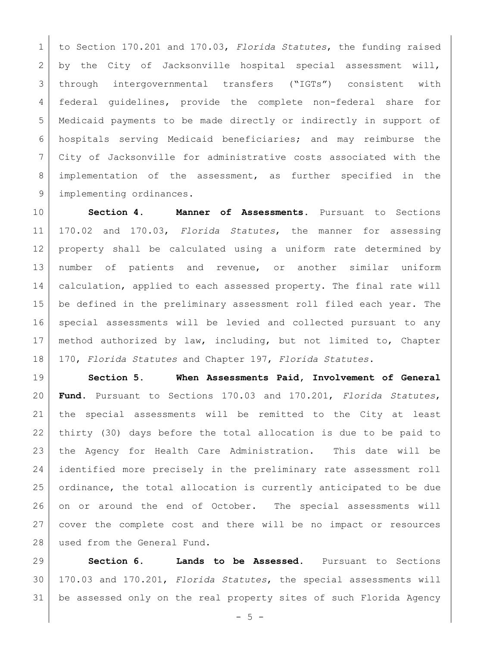to Section 170.201 and 170.03, *Florida Statutes*, the funding raised by the City of Jacksonville hospital special assessment will, through intergovernmental transfers ("IGTs") consistent with federal guidelines, provide the complete non-federal share for Medicaid payments to be made directly or indirectly in support of hospitals serving Medicaid beneficiaries; and may reimburse the City of Jacksonville for administrative costs associated with the implementation of the assessment, as further specified in the 9 | implementing ordinances.

 **Section 4. Manner of Assessments.** Pursuant to Sections 170.02 and 170.03, *Florida Statutes*, the manner for assessing property shall be calculated using a uniform rate determined by number of patients and revenue, or another similar uniform calculation, applied to each assessed property. The final rate will be defined in the preliminary assessment roll filed each year. The special assessments will be levied and collected pursuant to any method authorized by law, including, but not limited to, Chapter 170, *Florida Statutes* and Chapter 197, *Florida Statutes*.

 **Section 5. When Assessments Paid, Involvement of General Fund.** Pursuant to Sections 170.03 and 170.201, *Florida Statutes*, the special assessments will be remitted to the City at least thirty (30) days before the total allocation is due to be paid to the Agency for Health Care Administration. This date will be identified more precisely in the preliminary rate assessment roll ordinance, the total allocation is currently anticipated to be due on or around the end of October. The special assessments will cover the complete cost and there will be no impact or resources 28 used from the General Fund.

 **Section 6. Lands to be Assessed.** Pursuant to Sections 170.03 and 170.201, *Florida Statutes*, the special assessments will be assessed only on the real property sites of such Florida Agency

 $-5 -$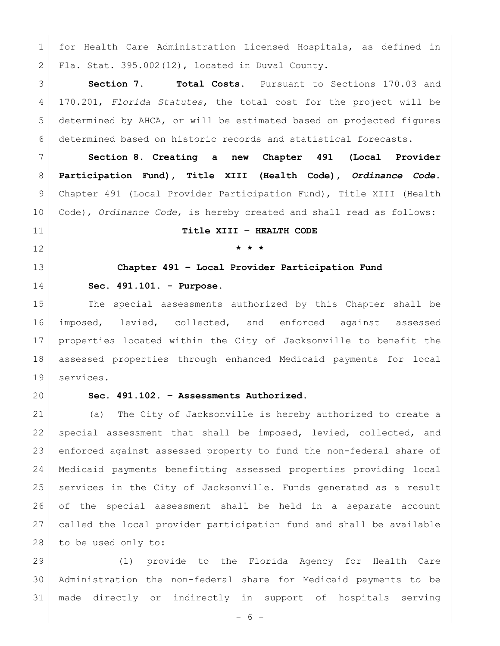for Health Care Administration Licensed Hospitals, as defined in Fla. Stat. 395.002(12), located in Duval County.

 **Section 7. Total Costs.** Pursuant to Sections 170.03 and 170.201, *Florida Statutes*, the total cost for the project will be determined by AHCA, or will be estimated based on projected figures determined based on historic records and statistical forecasts.

 **Section 8. Creating a new Chapter 491 (Local Provider Participation Fund), Title XIII (Health Code),** *Ordinance Code***.**  Chapter 491 (Local Provider Participation Fund), Title XIII (Health Code), *Ordinance Code*, is hereby created and shall read as follows:

## **Title XIII – HEALTH CODE**

# **\* \* \***

# **Chapter 491 – Local Provider Participation Fund Sec. 491.101. - Purpose.**

 The special assessments authorized by this Chapter shall be imposed, levied, collected, and enforced against assessed properties located within the City of Jacksonville to benefit the assessed properties through enhanced Medicaid payments for local services.

# **Sec. 491.102. – Assessments Authorized.**

 (a) The City of Jacksonville is hereby authorized to create a special assessment that shall be imposed, levied, collected, and enforced against assessed property to fund the non-federal share of Medicaid payments benefitting assessed properties providing local services in the City of Jacksonville. Funds generated as a result of the special assessment shall be held in a separate account called the local provider participation fund and shall be available to be used only to:

 (1) provide to the Florida Agency for Health Care Administration the non-federal share for Medicaid payments to be made directly or indirectly in support of hospitals serving

- 6 -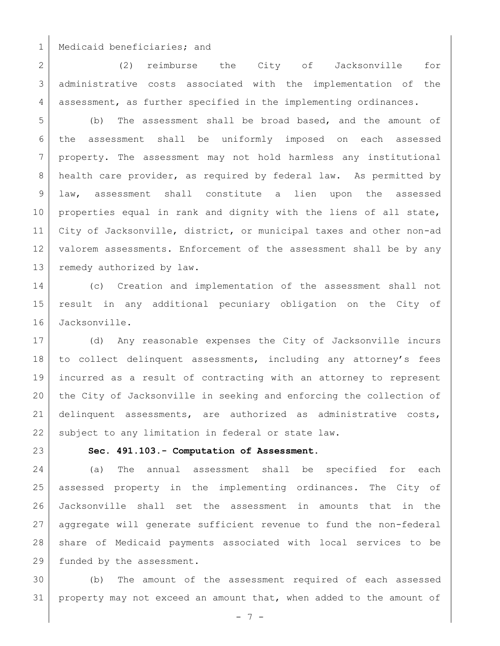1 | Medicaid beneficiaries; and

 (2) reimburse the City of Jacksonville for administrative costs associated with the implementation of the assessment, as further specified in the implementing ordinances.

 (b) The assessment shall be broad based, and the amount of the assessment shall be uniformly imposed on each assessed property. The assessment may not hold harmless any institutional 8 health care provider, as required by federal law. As permitted by law, assessment shall constitute a lien upon the assessed 10 | properties equal in rank and dignity with the liens of all state, City of Jacksonville, district, or municipal taxes and other non-ad 12 valorem assessments. Enforcement of the assessment shall be by any 13 remedy authorized by law.

 (c) Creation and implementation of the assessment shall not result in any additional pecuniary obligation on the City of Jacksonville.

 (d) Any reasonable expenses the City of Jacksonville incurs 18 to collect delinquent assessments, including any attorney's fees incurred as a result of contracting with an attorney to represent the City of Jacksonville in seeking and enforcing the collection of delinquent assessments, are authorized as administrative costs, 22 subject to any limitation in federal or state law.

**Sec. 491.103.- Computation of Assessment.** 

 (a) The annual assessment shall be specified for each assessed property in the implementing ordinances. The City of Jacksonville shall set the assessment in amounts that in the aggregate will generate sufficient revenue to fund the non-federal share of Medicaid payments associated with local services to be funded by the assessment.

 (b) The amount of the assessment required of each assessed property may not exceed an amount that, when added to the amount of

- 7 -